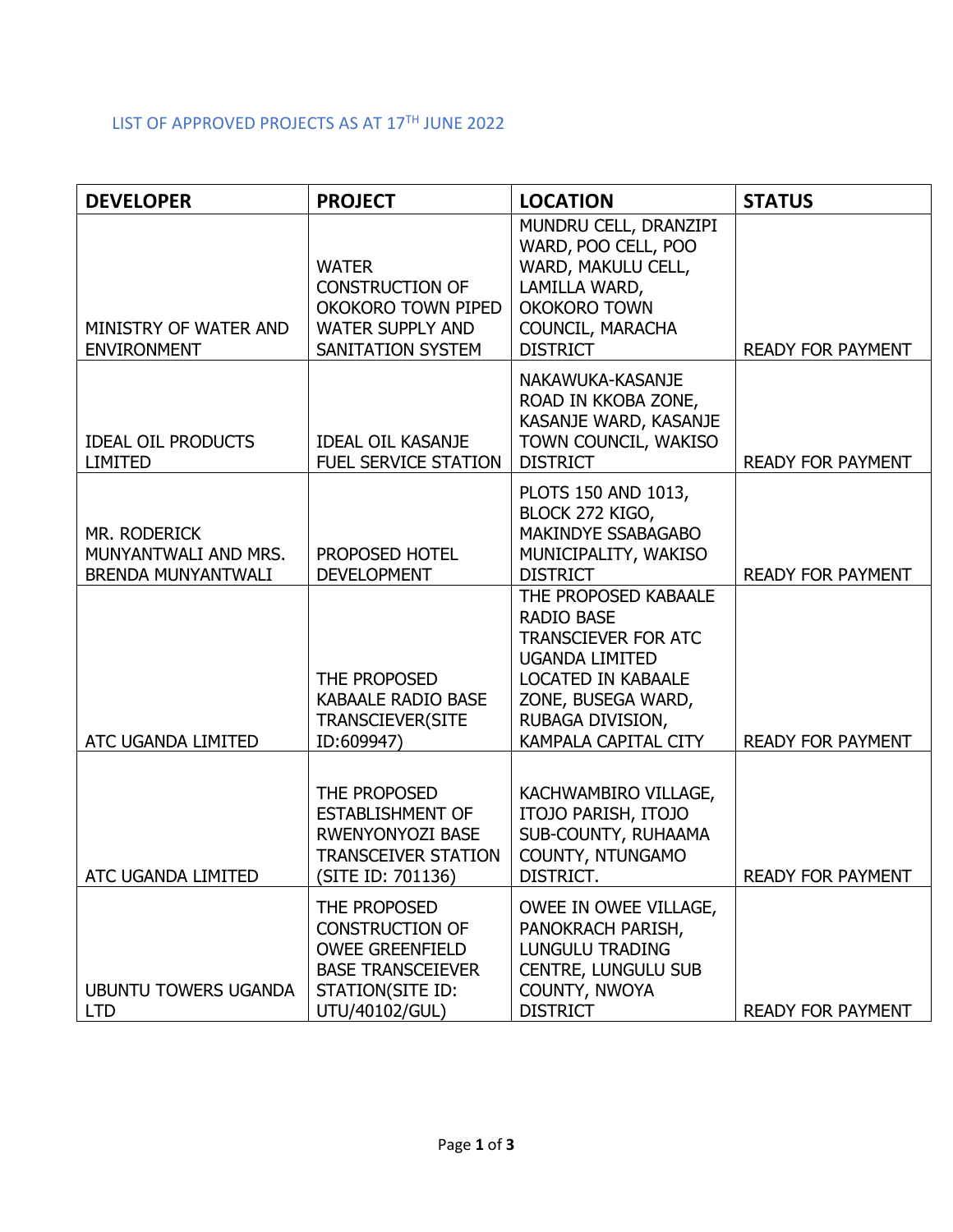## LIST OF APPROVED PROJECTS AS AT 17TH JUNE 2022

| <b>DEVELOPER</b>                                                  | <b>PROJECT</b>                                                                                                                     | <b>LOCATION</b>                                                                                                                                                                                 | <b>STATUS</b>            |
|-------------------------------------------------------------------|------------------------------------------------------------------------------------------------------------------------------------|-------------------------------------------------------------------------------------------------------------------------------------------------------------------------------------------------|--------------------------|
| MINISTRY OF WATER AND<br><b>ENVIRONMENT</b>                       | <b>WATER</b><br><b>CONSTRUCTION OF</b><br>OKOKORO TOWN PIPED<br><b>WATER SUPPLY AND</b><br>SANITATION SYSTEM                       | MUNDRU CELL, DRANZIPI<br>WARD, POO CELL, POO<br>WARD, MAKULU CELL,<br>LAMILLA WARD,<br><b>OKOKORO TOWN</b><br>COUNCIL, MARACHA<br><b>DISTRICT</b>                                               | <b>READY FOR PAYMENT</b> |
| <b>IDEAL OIL PRODUCTS</b><br><b>LIMITED</b>                       | <b>IDEAL OIL KASANJE</b><br><b>FUEL SERVICE STATION</b>                                                                            | NAKAWUKA-KASANJE<br>ROAD IN KKOBA ZONE,<br>KASANJE WARD, KASANJE<br>TOWN COUNCIL, WAKISO<br><b>DISTRICT</b>                                                                                     | <b>READY FOR PAYMENT</b> |
| MR. RODERICK<br>MUNYANTWALI AND MRS.<br><b>BRENDA MUNYANTWALI</b> | PROPOSED HOTEL<br><b>DEVELOPMENT</b>                                                                                               | PLOTS 150 AND 1013,<br>BLOCK 272 KIGO,<br>MAKINDYE SSABAGABO<br>MUNICIPALITY, WAKISO<br><b>DISTRICT</b>                                                                                         | <b>READY FOR PAYMENT</b> |
| ATC UGANDA LIMITED                                                | THE PROPOSED<br><b>KABAALE RADIO BASE</b><br><b>TRANSCIEVER(SITE</b><br>ID:609947)                                                 | THE PROPOSED KABAALE<br><b>RADIO BASE</b><br><b>TRANSCIEVER FOR ATC</b><br><b>UGANDA LIMITED</b><br>LOCATED IN KABAALE<br>ZONE, BUSEGA WARD,<br>RUBAGA DIVISION,<br><b>KAMPALA CAPITAL CITY</b> | <b>READY FOR PAYMENT</b> |
| ATC UGANDA LIMITED                                                | THE PROPOSED<br><b>ESTABLISHMENT OF</b><br>RWENYONYOZI BASE<br><b>TRANSCEIVER STATION</b><br>(SITE ID: 701136)                     | KACHWAMBIRO VILLAGE,<br>ITOJO PARISH, ITOJO<br>SUB-COUNTY, RUHAAMA<br>COUNTY, NTUNGAMO<br>DISTRICT.                                                                                             | READY FOR PAYMENT        |
| <b>UBUNTU TOWERS UGANDA</b><br><b>LTD</b>                         | THE PROPOSED<br><b>CONSTRUCTION OF</b><br><b>OWEE GREENFIELD</b><br><b>BASE TRANSCEIEVER</b><br>STATION(SITE ID:<br>UTU/40102/GUL) | OWEE IN OWEE VILLAGE,<br>PANOKRACH PARISH,<br><b>LUNGULU TRADING</b><br><b>CENTRE, LUNGULU SUB</b><br>COUNTY, NWOYA<br><b>DISTRICT</b>                                                          | <b>READY FOR PAYMENT</b> |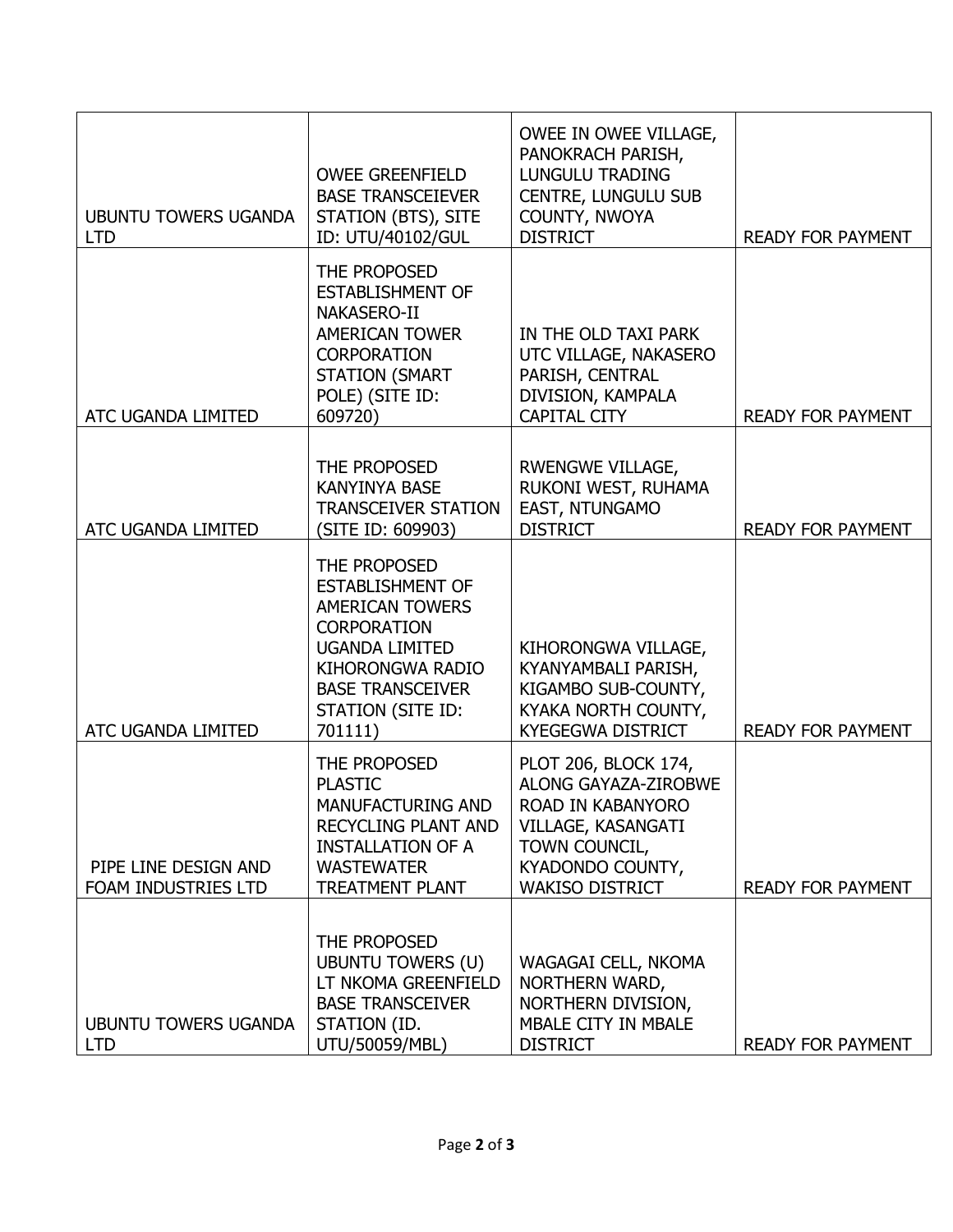| <b>UBUNTU TOWERS UGANDA</b><br><b>LTD</b>   | <b>OWEE GREENFIELD</b><br><b>BASE TRANSCEIEVER</b><br>STATION (BTS), SITE<br>ID: UTU/40102/GUL                                                                                                         | OWEE IN OWEE VILLAGE,<br>PANOKRACH PARISH,<br><b>LUNGULU TRADING</b><br><b>CENTRE, LUNGULU SUB</b><br>COUNTY, NWOYA<br><b>DISTRICT</b>                        | <b>READY FOR PAYMENT</b> |
|---------------------------------------------|--------------------------------------------------------------------------------------------------------------------------------------------------------------------------------------------------------|---------------------------------------------------------------------------------------------------------------------------------------------------------------|--------------------------|
| ATC UGANDA LIMITED                          | THE PROPOSED<br><b>ESTABLISHMENT OF</b><br>NAKASERO-II<br><b>AMERICAN TOWER</b><br><b>CORPORATION</b><br><b>STATION (SMART</b><br>POLE) (SITE ID:<br>609720)                                           | IN THE OLD TAXI PARK<br>UTC VILLAGE, NAKASERO<br>PARISH, CENTRAL<br>DIVISION, KAMPALA<br><b>CAPITAL CITY</b>                                                  | <b>READY FOR PAYMENT</b> |
| ATC UGANDA LIMITED                          | THE PROPOSED<br><b>KANYINYA BASE</b><br><b>TRANSCEIVER STATION</b><br>(SITE ID: 609903)                                                                                                                | <b>RWENGWE VILLAGE,</b><br>RUKONI WEST, RUHAMA<br>EAST, NTUNGAMO<br><b>DISTRICT</b>                                                                           | READY FOR PAYMENT        |
| ATC UGANDA LIMITED                          | THE PROPOSED<br><b>ESTABLISHMENT OF</b><br><b>AMERICAN TOWERS</b><br><b>CORPORATION</b><br><b>UGANDA LIMITED</b><br><b>KIHORONGWA RADIO</b><br><b>BASE TRANSCEIVER</b><br>STATION (SITE ID:<br>701111) | KIHORONGWA VILLAGE,<br>KYANYAMBALI PARISH,<br>KIGAMBO SUB-COUNTY,<br>KYAKA NORTH COUNTY,<br><b>KYEGEGWA DISTRICT</b>                                          | <b>READY FOR PAYMENT</b> |
| PIPE LINE DESIGN AND<br>FOAM INDUSTRIES LTD | THE PROPOSED<br><b>PLASTIC</b><br><b>MANUFACTURING AND</b><br>RECYCLING PLANT AND<br><b>INSTALLATION OF A</b><br><b>WASTEWATER</b><br><b>TREATMENT PLANT</b>                                           | PLOT 206, BLOCK 174,<br><b>ALONG GAYAZA-ZIROBWE</b><br>ROAD IN KABANYORO<br>VILLAGE, KASANGATI<br>TOWN COUNCIL,<br>KYADONDO COUNTY,<br><b>WAKISO DISTRICT</b> | <b>READY FOR PAYMENT</b> |
| <b>UBUNTU TOWERS UGANDA</b><br><b>LTD</b>   | THE PROPOSED<br><b>UBUNTU TOWERS (U)</b><br>LT NKOMA GREENFIELD<br><b>BASE TRANSCEIVER</b><br>STATION (ID.<br>UTU/50059/MBL)                                                                           | WAGAGAI CELL, NKOMA<br>NORTHERN WARD,<br>NORTHERN DIVISION,<br>MBALE CITY IN MBALE<br><b>DISTRICT</b>                                                         | <b>READY FOR PAYMENT</b> |